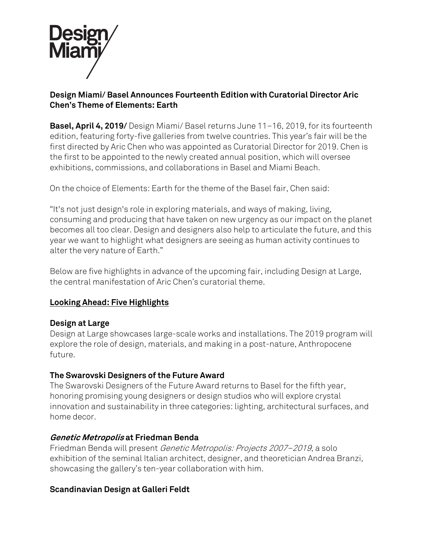

## **Design Miami/ Basel Announces Fourteenth Edition with Curatorial Director Aric Chen's Theme of Elements: Earth**

**Basel, April 4, 2019/** Design Miami/ Basel returns June 11–16, 2019, for its fourteenth edition, featuring forty-five galleries from twelve countries. This year's fair will be the first directed by Aric Chen who was appointed as Curatorial Director for 2019. Chen is the first to be appointed to the newly created annual position, which will oversee exhibitions, commissions, and collaborations in Basel and Miami Beach.

On the choice of Elements: Earth for the theme of the Basel fair, Chen said:

"It's not just design's role in exploring materials, and ways of making, living, consuming and producing that have taken on new urgency as our impact on the planet becomes all too clear. Design and designers also help to articulate the future, and this year we want to highlight what designers are seeing as human activity continues to alter the very nature of Earth."

Below are five highlights in advance of the upcoming fair, including Design at Large, the central manifestation of Aric Chen's curatorial theme.

# **Looking Ahead: Five Highlights**

### **Design at Large**

Design at Large showcases large-scale works and installations. The 2019 program will explore the role of design, materials, and making in a post-nature, Anthropocene future.

### **The Swarovski Designers of the Future Award**

The Swarovski Designers of the Future Award returns to Basel for the fifth year, honoring promising young designers or design studios who will explore crystal innovation and sustainability in three categories: lighting, architectural surfaces, and home decor.

# **Genetic Metropolis at Friedman Benda**

Friedman Benda will present Genetic Metropolis: Projects 2007–2019, a solo exhibition of the seminal Italian architect, designer, and theoretician Andrea Branzi, showcasing the gallery's ten-year collaboration with him.

### **Scandinavian Design at Galleri Feldt**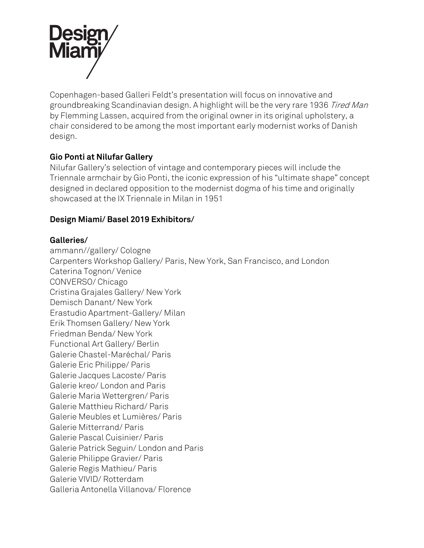

Copenhagen-based Galleri Feldt's presentation will focus on innovative and groundbreaking Scandinavian design. A highlight will be the very rare 1936 Tired Man by Flemming Lassen, acquired from the original owner in its original upholstery, a chair considered to be among the most important early modernist works of Danish design.

## **Gio Ponti at Nilufar Gallery**

Nilufar Gallery's selection of vintage and contemporary pieces will include the Triennale armchair by Gio Ponti, the iconic expression of his "ultimate shape" concept designed in declared opposition to the modernist dogma of his time and originally showcased at the IX Triennale in Milan in 1951

## **Design Miami/ Basel 2019 Exhibitors/**

#### **Galleries/**

ammann//gallery/ Cologne Carpenters Workshop Gallery/ Paris, New York, San Francisco, and London Caterina Tognon/ Venice CONVERSO/ Chicago Cristina Grajales Gallery/ New York Demisch Danant/ New York Erastudio Apartment-Gallery/ Milan Erik Thomsen Gallery/ New York Friedman Benda/ New York Functional Art Gallery/ Berlin Galerie Chastel-Maréchal/ Paris Galerie Eric Philippe/ Paris Galerie Jacques Lacoste/ Paris Galerie kreo/ London and Paris Galerie Maria Wettergren/ Paris Galerie Matthieu Richard/ Paris Galerie Meubles et Lumières/ Paris Galerie Mitterrand/ Paris Galerie Pascal Cuisinier/ Paris Galerie Patrick Seguin/ London and Paris Galerie Philippe Gravier/ Paris Galerie Regis Mathieu/ Paris Galerie VIVID/ Rotterdam Galleria Antonella Villanova/ Florence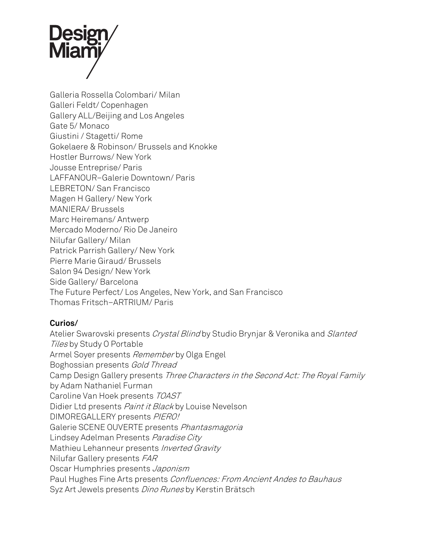

Galleria Rossella Colombari/ Milan Galleri Feldt/ Copenhagen Gallery ALL/Beijing and Los Angeles Gate 5/ Monaco Giustini / Stagetti/ Rome Gokelaere & Robinson/ Brussels and Knokke Hostler Burrows/ New York Jousse Entreprise/ Paris LAFFANOUR–Galerie Downtown/ Paris LEBRETON/ San Francisco Magen H Gallery/ New York MANIERA/ Brussels Marc Heiremans/ Antwerp Mercado Moderno/ Rio De Janeiro Nilufar Gallery/ Milan Patrick Parrish Gallery/ New York Pierre Marie Giraud/ Brussels Salon 94 Design/ New York Side Gallery/ Barcelona The Future Perfect/ Los Angeles, New York, and San Francisco Thomas Fritsch–ARTRIUM/ Paris

### **Curios/**

Atelier Swarovski presents Crystal Blind by Studio Brynjar & Veronika and Slanted Tiles by Study O Portable Armel Soyer presents Remember by Olga Engel Boghossian presents Gold Thread Camp Design Gallery presents Three Characters in the Second Act: The Royal Family by Adam Nathaniel Furman Caroline Van Hoek presents TOAST Didier Ltd presents Paint it Black by Louise Nevelson DIMOREGALLERY presents PIERO! Galerie SCENE OUVERTE presents Phantasmagoria Lindsey Adelman Presents Paradise City Mathieu Lehanneur presents Inverted Gravity Nilufar Gallery presents FAR Oscar Humphries presents Japonism Paul Hughes Fine Arts presents Confluences: From Ancient Andes to Bauhaus Syz Art Jewels presents *Dino Runes* by Kerstin Brätsch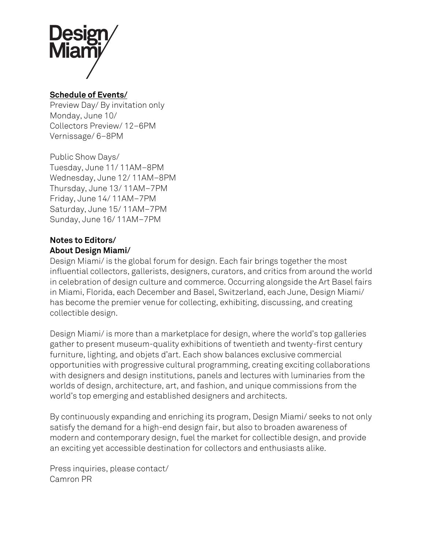

## **Schedule of Events/**

Preview Day/ By invitation only Monday, June 10/ Collectors Preview/ 12–6PM Vernissage/ 6–8PM

Public Show Days/ Tuesday, June 11/ 11AM–8PM Wednesday, June 12/ 11AM–8PM Thursday, June 13/ 11AM–7PM Friday, June 14/ 11AM–7PM Saturday, June 15/ 11AM–7PM Sunday, June 16/ 11AM–7PM

# **Notes to Editors/ About Design Miami/**

Design Miami/ is the global forum for design. Each fair brings together the most influential collectors, gallerists, designers, curators, and critics from around the world in celebration of design culture and commerce. Occurring alongside the Art Basel fairs in Miami, Florida, each December and Basel, Switzerland, each June, Design Miami/ has become the premier venue for collecting, exhibiting, discussing, and creating collectible design.

Design Miami/ is more than a marketplace for design, where the world's top galleries gather to present museum-quality exhibitions of twentieth and twenty-first century furniture, lighting, and objets d'art. Each show balances exclusive commercial opportunities with progressive cultural programming, creating exciting collaborations with designers and design institutions, panels and lectures with luminaries from the worlds of design, architecture, art, and fashion, and unique commissions from the world's top emerging and established designers and architects.

By continuously expanding and enriching its program, Design Miami/ seeks to not only satisfy the demand for a high-end design fair, but also to broaden awareness of modern and contemporary design, fuel the market for collectible design, and provide an exciting yet accessible destination for collectors and enthusiasts alike.

Press inquiries, please contact/ Camron PR